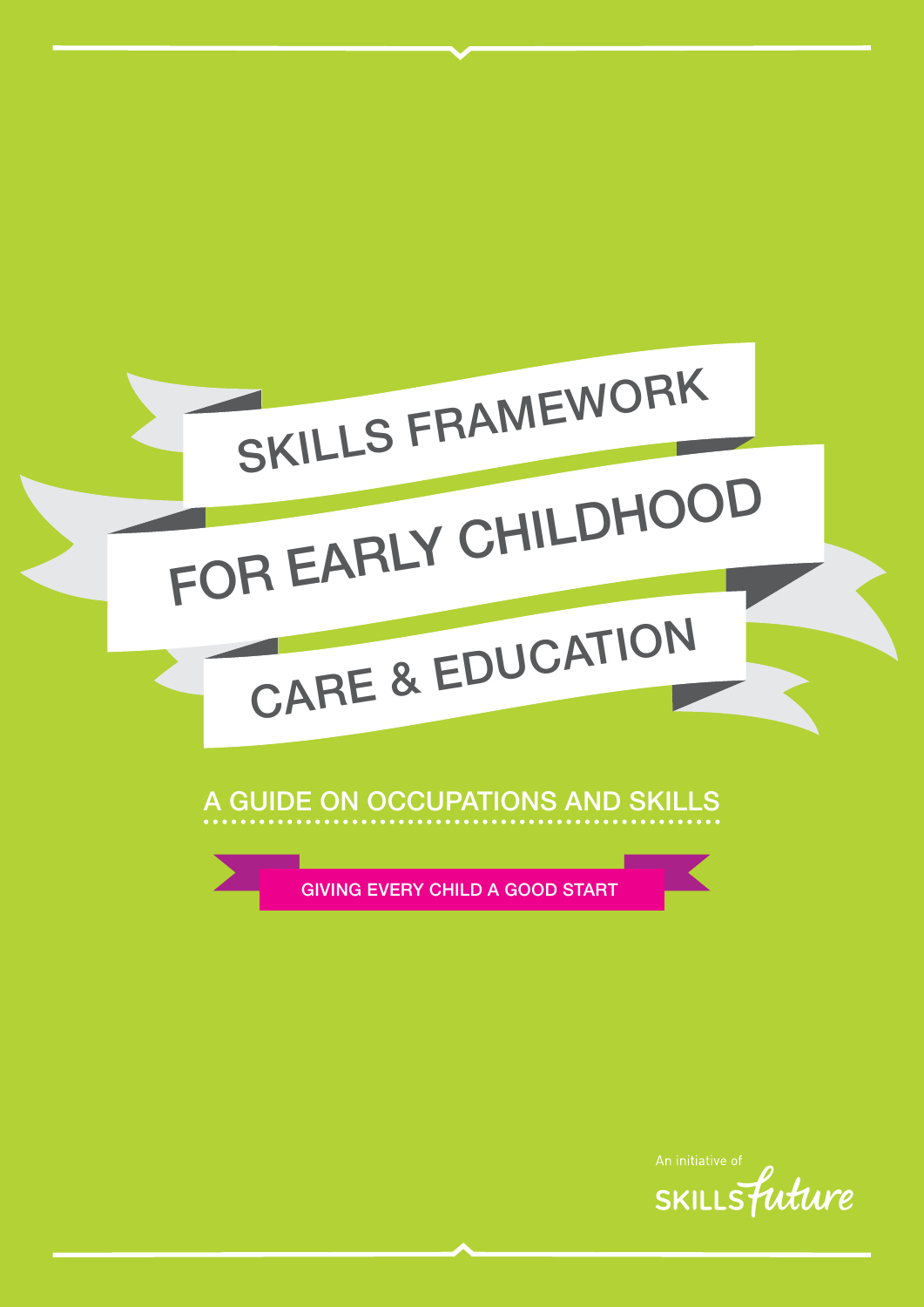

## A GUIDE ON OCCUPATIONS AND SKILLS

GIVING EVERY CHILD A GOOD START

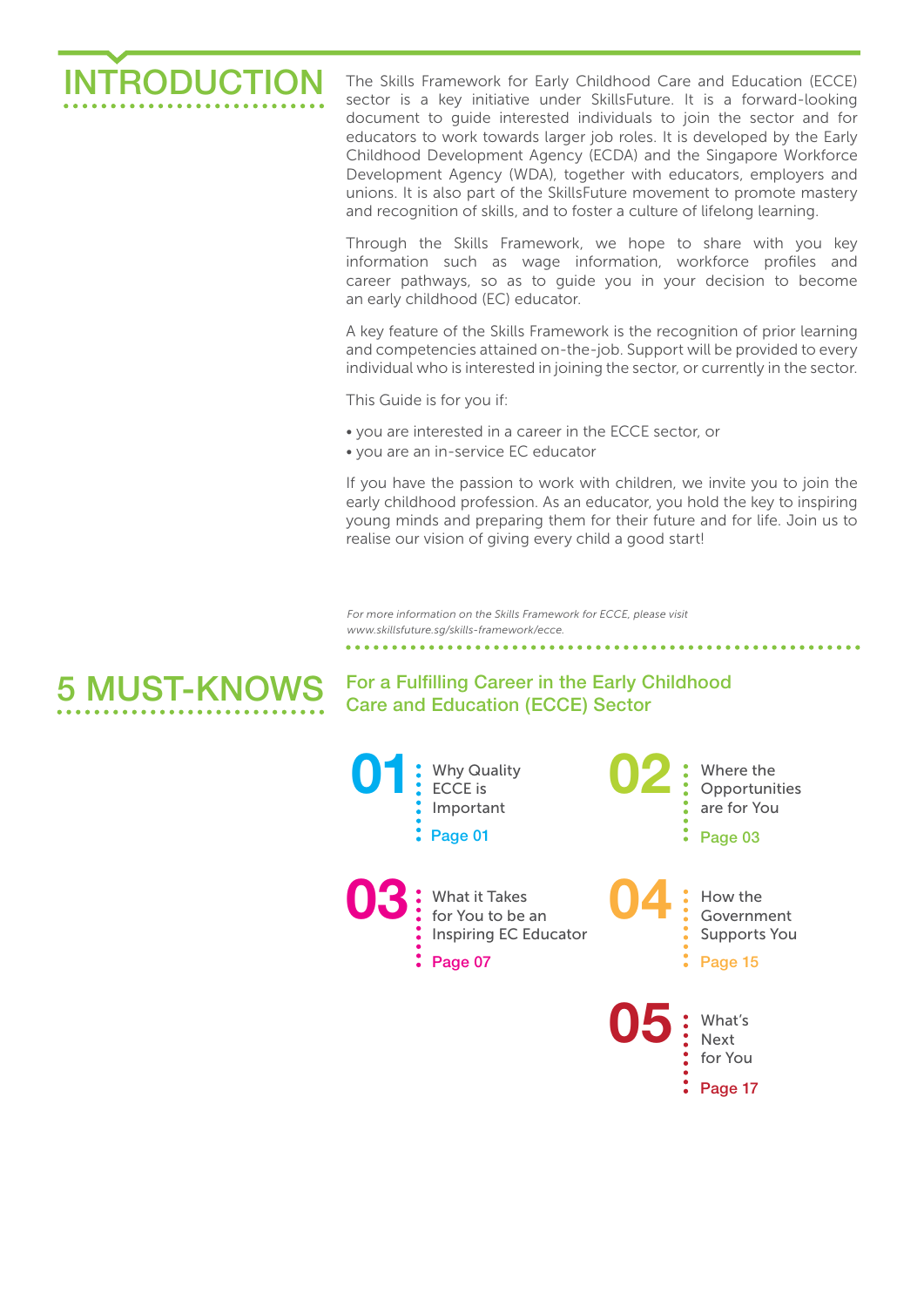

The Skills Framework for Early Childhood Care and Education (ECCE) sector is a key initiative under SkillsFuture. It is a forward-looking document to guide interested individuals to join the sector and for educators to work towards larger job roles. It is developed by the Early Childhood Development Agency (ECDA) and the Singapore Workforce Development Agency (WDA), together with educators, employers and unions. It is also part of the SkillsFuture movement to promote mastery and recognition of skills, and to foster a culture of lifelong learning.

Through the Skills Framework, we hope to share with you key information such as wage information, workforce profiles and career pathways, so as to guide you in your decision to become an early childhood (EC) educator.

A key feature of the Skills Framework is the recognition of prior learning and competencies attained on-the-job. Support will be provided to every individual who is interested in joining the sector, or currently in the sector.

This Guide is for you if:

- you are interested in a career in the ECCE sector, or
- you are an in-service EC educator

If you have the passion to work with children, we invite you to join the early childhood profession. As an educator, you hold the key to inspiring young minds and preparing them for their future and for life. Join us to realise our vision of giving every child a good start!

*For more information on the Skills Framework for ECCE, please visit www.skillsfuture.sg/skills-framework/ecce.* 

#### For a Fulfilling Career in the Early Childhood Care and Education (ECCE) Sector 5 MUST-KNOWS

**01 03 02 04** Why Quality ECCE is Important Where the Opportunities are for You How the Government Supports You What it Takes for You to be an Inspiring EC Educator Page 01  $\degree$  Page 07  $\cdot$  Page 03  $\cdot$  Page 15

> **05** What's Next for You

> > Page 17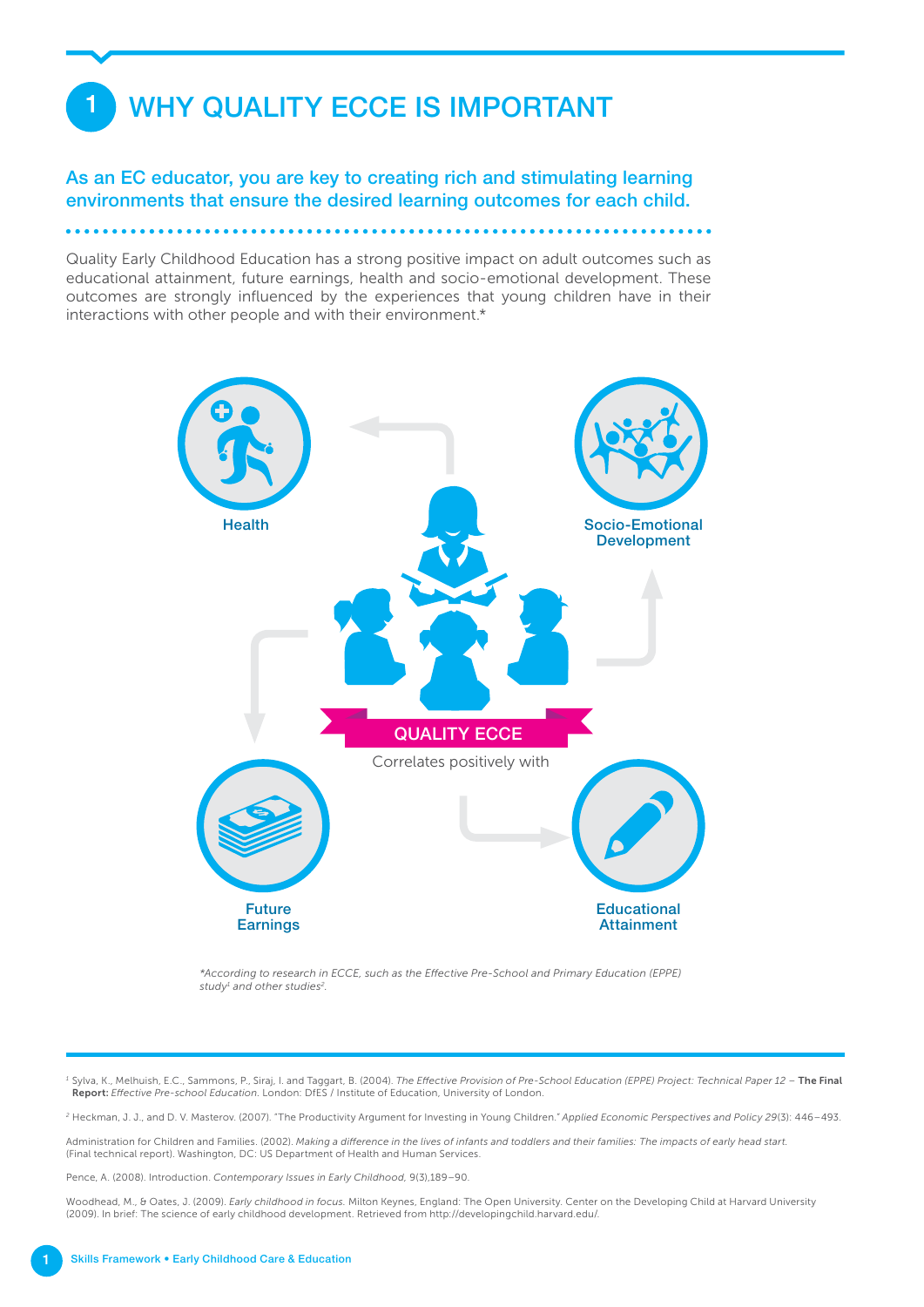## WHY QUALITY ECCE IS IMPORTANT

1

As an EC educator, you are key to creating rich and stimulating learning environments that ensure the desired learning outcomes for each child.

Quality Early Childhood Education has a strong positive impact on adult outcomes such as educational attainment, future earnings, health and socio-emotional development. These outcomes are strongly influenced by the experiences that young children have in their interactions with other people and with their environment.\*



*\*According to research in ECCE, such as the Effective Pre-School and Primary Education (EPPE) study1 and other studies2.*

<sup>1</sup> Sylva, K., Melhuish, E.C., Sammons, P., Siraj, I. and Taggart, B. (2004). The Effective Provision of Pre-School Education (EPPE) Project: Technical Paper 12 - The Final Report: *Effective Pre-school Education.* London: DfES / Institute of Education, University of London.

*<sup>2</sup>* Heckman, J. J., and D. V. Masterov. (2007). "The Productivity Argument for Investing in Young Children.*" Applied Economic Perspectives and Policy 29*(3): 446–493.

Administration for Children and Families. (2002). *Making a difference in the lives of infants and toddlers and their families: The impacts of early head start.* (Final technical report). Washington, DC: US Department of Health and Human Services.

Pence, A. (2008). Introduction. *Contemporary Issues in Early Childhood,* 9(3),189–90.

Woodhead, M., & Oates, J. (2009). *Early childhood in focus.* Milton Keynes, England: The Open University. Center on the Developing Child at Harvard University (2009). In brief: The science of early childhood development. Retrieved from http://developingchild.harvard.edu/.

1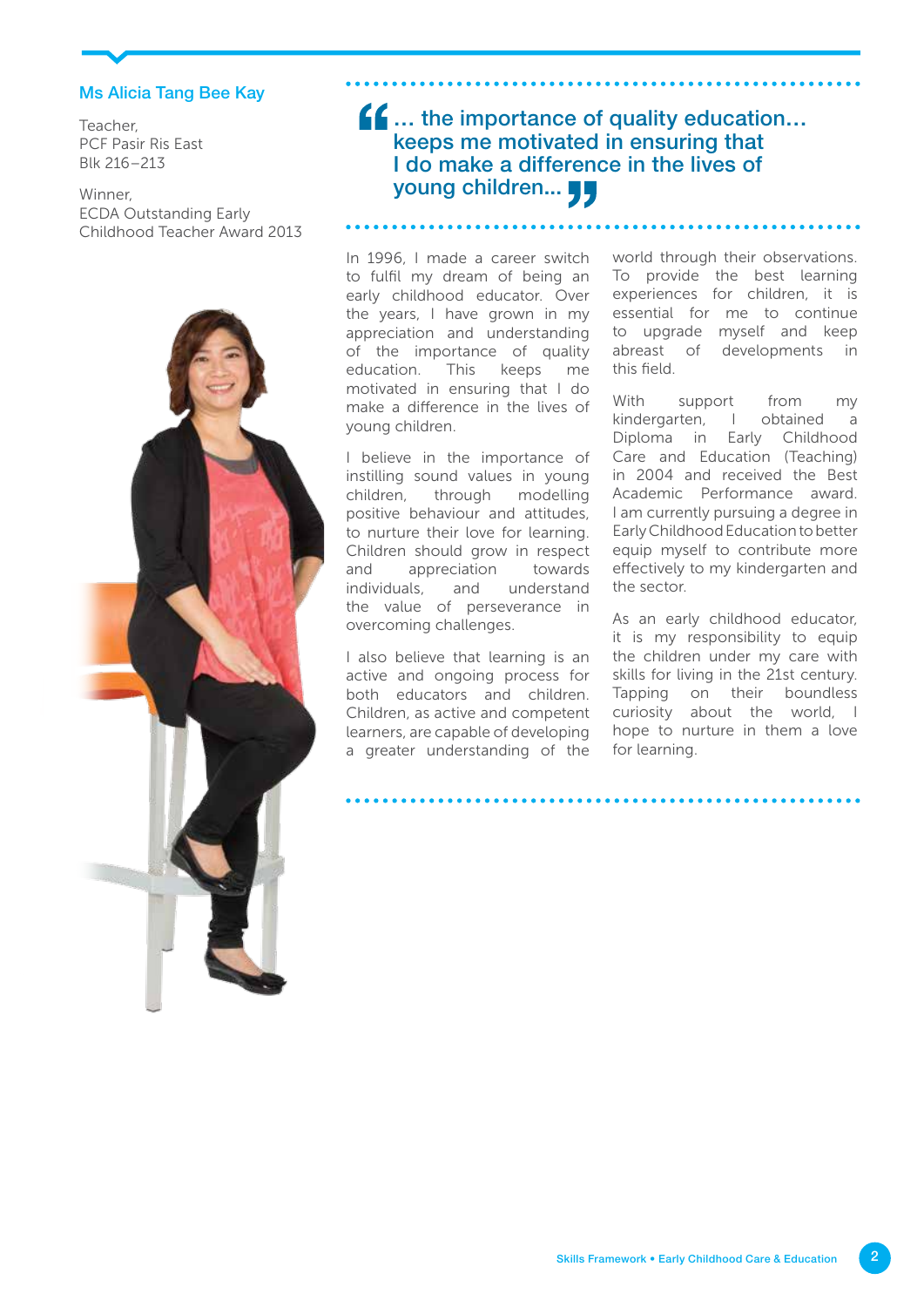### Ms Alicia Tang Bee Kay

Teacher, PCF Pasir Ris East Blk 216–213

### Winner, ECDA Outstanding Early Childhood Teacher Award 2013



## $f_{\bullet}$  ... the importance of quality education... keeps me motivated in ensuring that I do make a difference in the lives of young children...

In 1996, I made a career switch to fulfil my dream of being an early childhood educator. Over the years, I have grown in my appreciation and understanding of the importance of quality education. This keeps me motivated in ensuring that I do make a difference in the lives of young children.

I believe in the importance of instilling sound values in young children, through modelling positive behaviour and attitudes, to nurture their love for learning. Children should grow in respect and appreciation towards individuals, and understand the value of perseverance in overcoming challenges.

I also believe that learning is an active and ongoing process for both educators and children. Children, as active and competent learners, are capable of developing a greater understanding of the world through their observations. To provide the best learning experiences for children, it is essential for me to continue to upgrade myself and keep abreast of developments in this field.

With support from my kindergarten, I obtained a Diploma in Early Childhood Care and Education (Teaching) in 2004 and received the Best Academic Performance award. I am currently pursuing a degree in Early Childhood Education to better equip myself to contribute more effectively to my kindergarten and the sector.

As an early childhood educator, it is my responsibility to equip the children under my care with skills for living in the 21st century. Tapping on their boundless curiosity about the world, I hope to nurture in them a love for learning.

2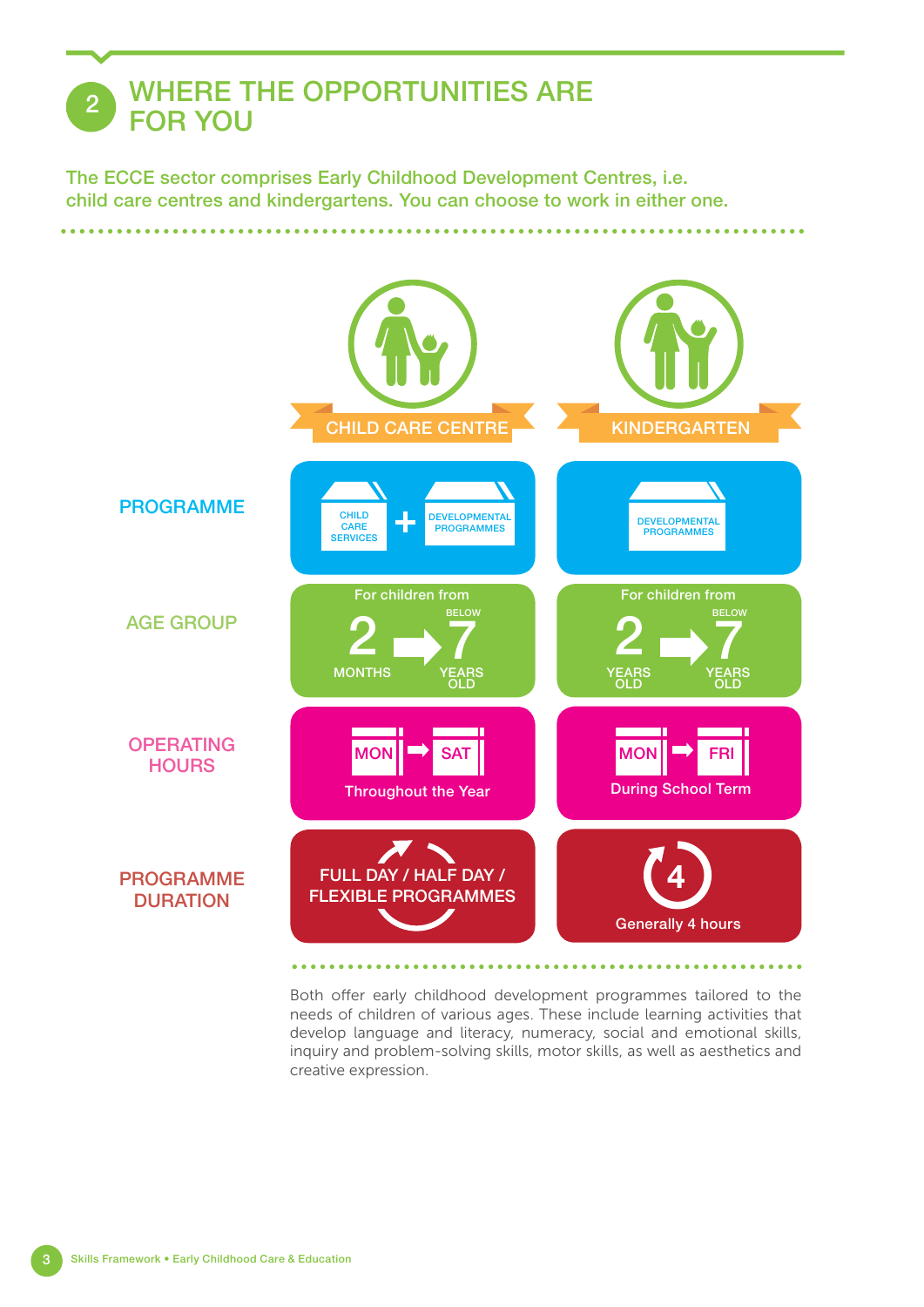## WHERE THE OPPORTUNITIES ARE **FOR YOU**

The ECCE sector comprises Early Childhood Development Centres, i.e. child care centres and kindergartens. You can choose to work in either one.

. . . . . . . . . .



Both offer early childhood development programmes tailored to the needs of children of various ages. These include learning activities that develop language and literacy, numeracy, social and emotional skills, inquiry and problem-solving skills, motor skills, as well as aesthetics and creative expression.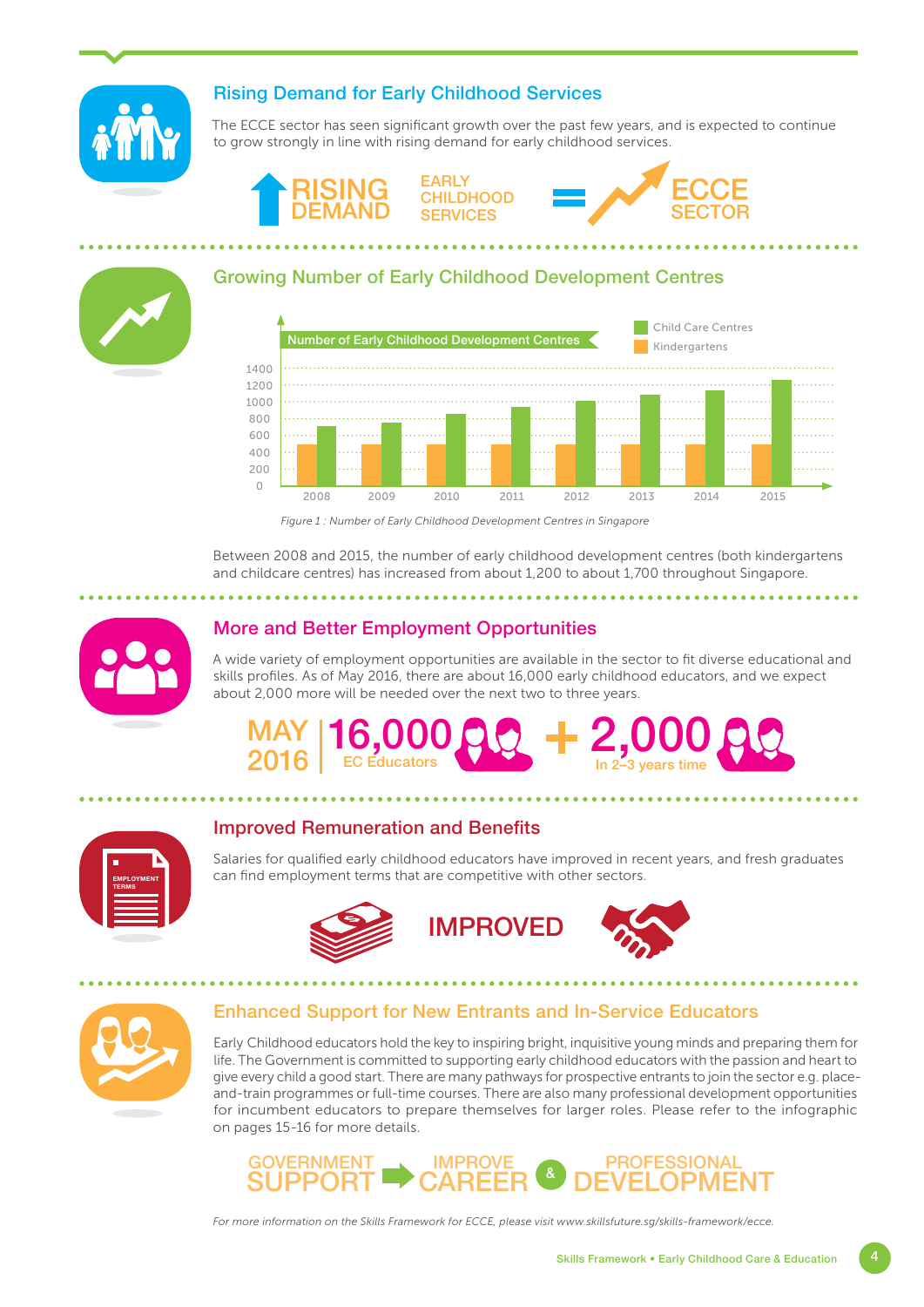

## Rising Demand for Early Childhood Services

The ECCE sector has seen significant growth over the past few years, and is expected to continue to grow strongly in line with rising demand for early childhood services.







## Growing Number of Early Childhood Development Centres



*Figure 1 : Number of Early Childhood Development Centres in Singapore*

Between 2008 and 2015, the number of early childhood development centres (both kindergartens and childcare centres) has increased from about 1,200 to about 1,700 throughout Singapore.



### More and Better Employment Opportunities

A wide variety of employment opportunities are available in the sector to fit diverse educational and skills profiles. As of May 2016, there are about 16,000 early childhood educators, and we expect about 2,000 more will be needed over the next two to three years.

#### **MAY** MAY 16,000<br>2016 EC Educators 2,000 In 2–3 years time

| L                                 |  |
|-----------------------------------|--|
| <b>EMPLOYMENT</b><br><b>TERMS</b> |  |
|                                   |  |
|                                   |  |
|                                   |  |

### Improved Remuneration and Benefits

Salaries for qualified early childhood educators have improved in recent years, and fresh graduates can find employment terms that are competitive with other sectors.









### Enhanced Support for New Entrants and In-Service Educators

Early Childhood educators hold the key to inspiring bright, inquisitive young minds and preparing them for life. The Government is committed to supporting early childhood educators with the passion and heart to give every child a good start. There are many pathways for prospective entrants to join the sector e.g. placeand-train programmes or full-time courses. There are also many professional development opportunities for incumbent educators to prepare themselves for larger roles. Please refer to the infographic on pages 15-16 for more details.



*For more information on the Skills Framework for ECCE, please visit www.skillsfuture.sg/skills-framework/ecce.*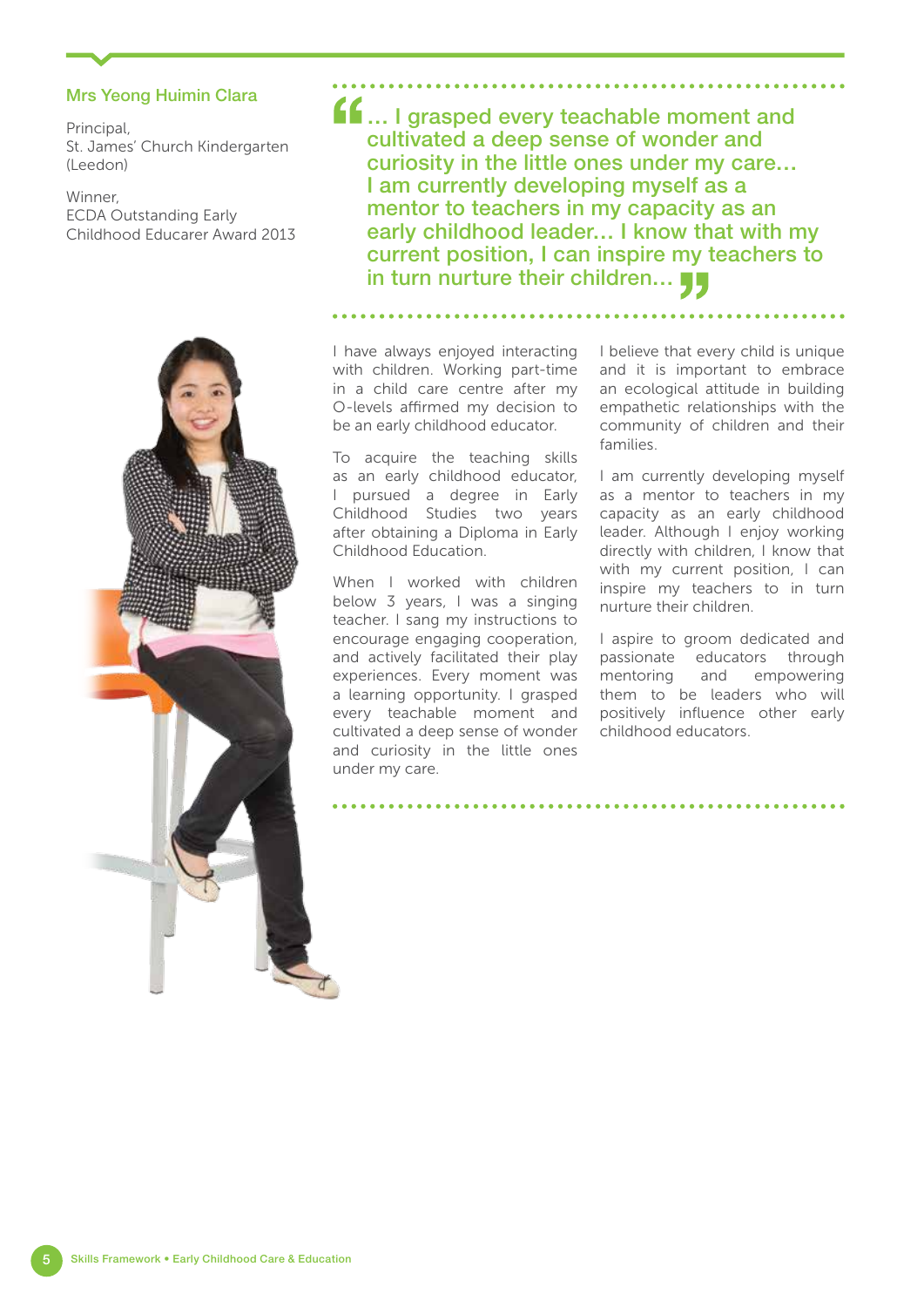### Mrs Yeong Huimin Clara

Principal, St. James' Church Kindergarten (Leedon)

Winner, ECDA Outstanding Early Childhood Educarer Award 2013



 $\blacksquare$  I grasped every teachable moment and cultivated a deep sense of wonder and curiosity in the little ones under my care… I am currently developing myself as a mentor to teachers in my capacity as an early childhood leader… I know that with my current position, I can inspire my teachers to in turn nurture their children...

I have always enjoyed interacting with children. Working part-time in a child care centre after my O-levels affirmed my decision to be an early childhood educator.

To acquire the teaching skills as an early childhood educator, I pursued a degree in Early Childhood Studies two years after obtaining a Diploma in Early Childhood Education.

When I worked with children below 3 years, I was a singing teacher. I sang my instructions to encourage engaging cooperation, and actively facilitated their play experiences. Every moment was a learning opportunity. I grasped every teachable moment and cultivated a deep sense of wonder and curiosity in the little ones under my care.

I believe that every child is unique and it is important to embrace an ecological attitude in building empathetic relationships with the community of children and their families.

I am currently developing myself as a mentor to teachers in my capacity as an early childhood leader. Although I enjoy working directly with children, I know that with my current position, I can inspire my teachers to in turn nurture their children.

I aspire to groom dedicated and passionate educators through mentoring and empowering them to be leaders who will positively influence other early childhood educators.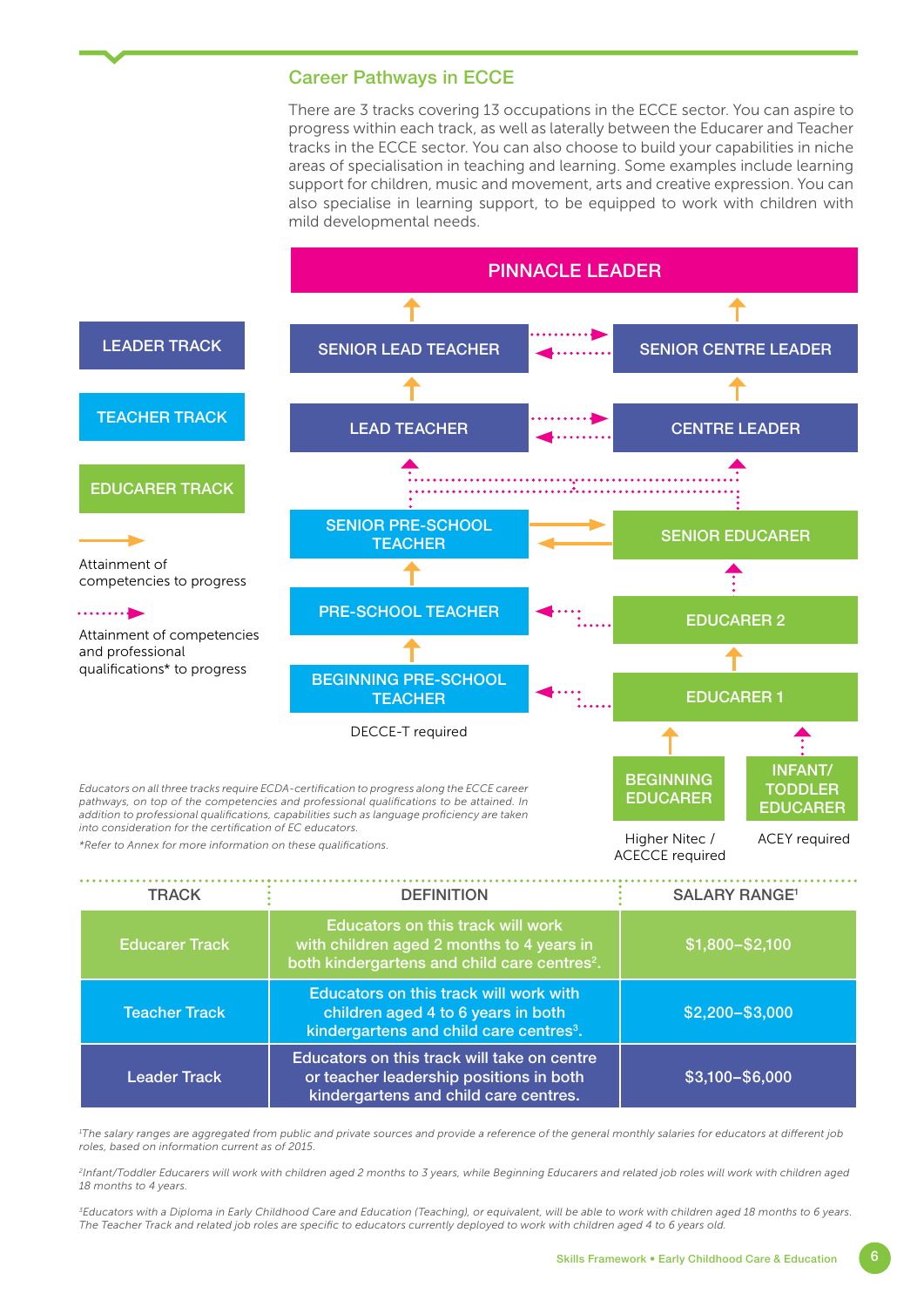### Career Pathways in ECCE

There are 3 tracks covering 13 occupations in the ECCE sector. You can aspire to progress within each track, as well as laterally between the Educarer and Teacher tracks in the ECCE sector. You can also choose to build your capabilities in niche areas of specialisation in teaching and learning. Some examples include learning support for children, music and movement, arts and creative expression. You can also specialise in learning support, to be equipped to work with children with mild developmental needs.



| <b>TRACK</b>          | <b>DEFINITION</b>                                                                                                                          | <b>SALARY RANGE<sup>1</sup></b> |
|-----------------------|--------------------------------------------------------------------------------------------------------------------------------------------|---------------------------------|
| <b>Educarer Track</b> | Educators on this track will work<br>with children aged 2 months to 4 years in<br>both kindergartens and child care centres <sup>2</sup> . | \$1,800-\$2,100                 |
| <b>Teacher Track</b>  | Educators on this track will work with<br>children aged 4 to 6 years in both<br>kindergartens and child care centres <sup>3</sup> .        | $$2,200 - $3,000$               |
| <b>Leader Track</b>   | Educators on this track will take on centre<br>or teacher leadership positions in both<br>kindergartens and child care centres.            | \$3,100-\$6,000                 |

*1 The salary ranges are aggregated from public and private sources and provide a reference of the general monthly salaries for educators at different job roles, based on information current as of 2015.* 

اءِ<br>Infant/Toddler Educarers will work with children aged 2 months to 3 years, while Beginning Educarers and related job roles will work with children aged *18 months to 4 years.*

*3Educators with a Diploma in Early Childhood Care and Education (Teaching), or equivalent, will be able to work with children aged 18 months to 6 years. The Teacher Track and related job roles are specific to educators currently deployed to work with children aged 4 to 6 years old.*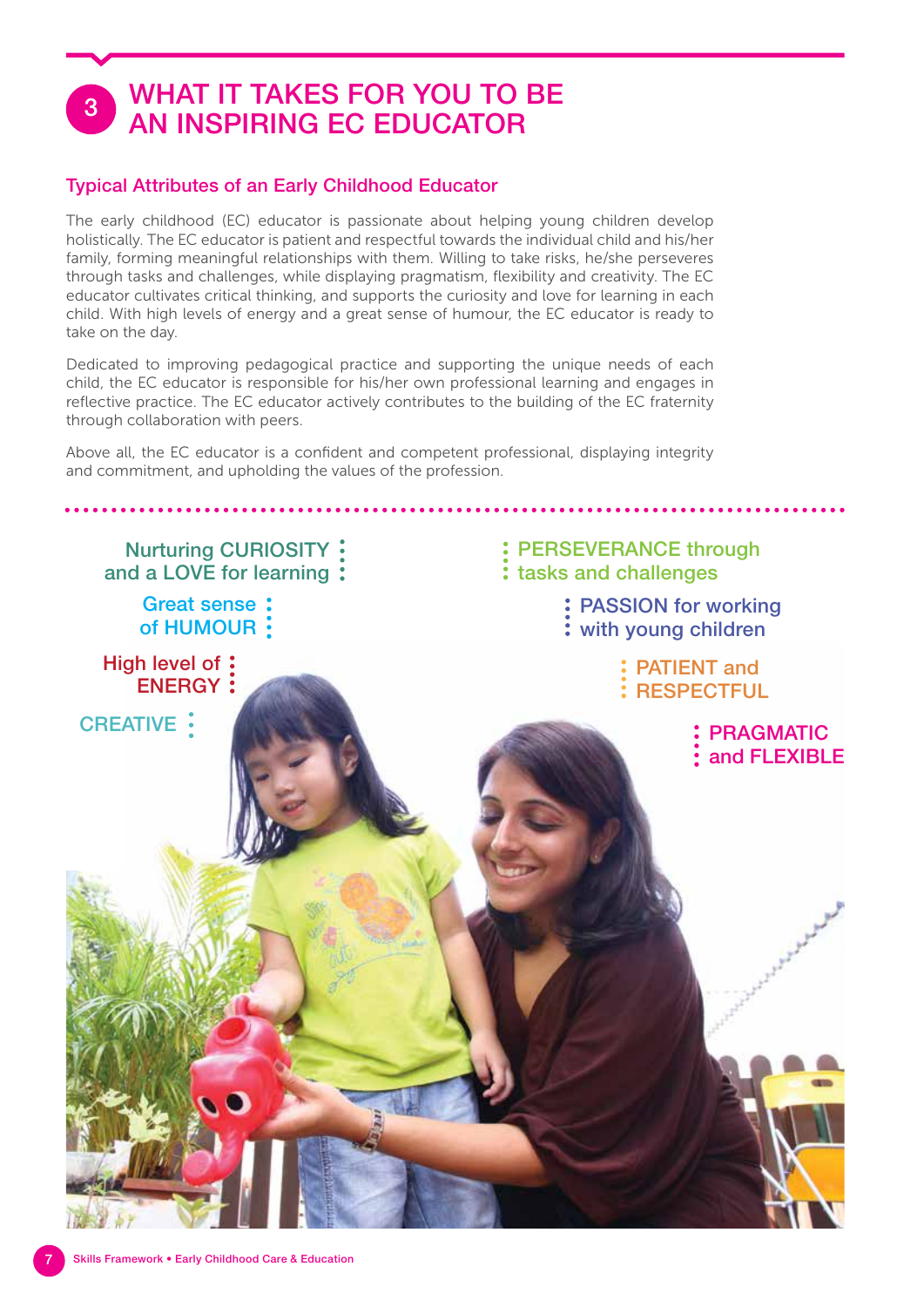## WHAT IT TAKES FOR YOU TO BE AN INSPIRING EC EDUCATOR

## Typical Attributes of an Early Childhood Educator

The early childhood (EC) educator is passionate about helping young children develop holistically. The EC educator is patient and respectful towards the individual child and his/her family, forming meaningful relationships with them. Willing to take risks, he/she perseveres through tasks and challenges, while displaying pragmatism, flexibility and creativity. The EC educator cultivates critical thinking, and supports the curiosity and love for learning in each child. With high levels of energy and a great sense of humour, the EC educator is ready to take on the day.

Dedicated to improving pedagogical practice and supporting the unique needs of each child, the EC educator is responsible for his/her own professional learning and engages in reflective practice. The EC educator actively contributes to the building of the EC fraternity through collaboration with peers.

Above all, the EC educator is a confident and competent professional, displaying integrity and commitment, and upholding the values of the profession.

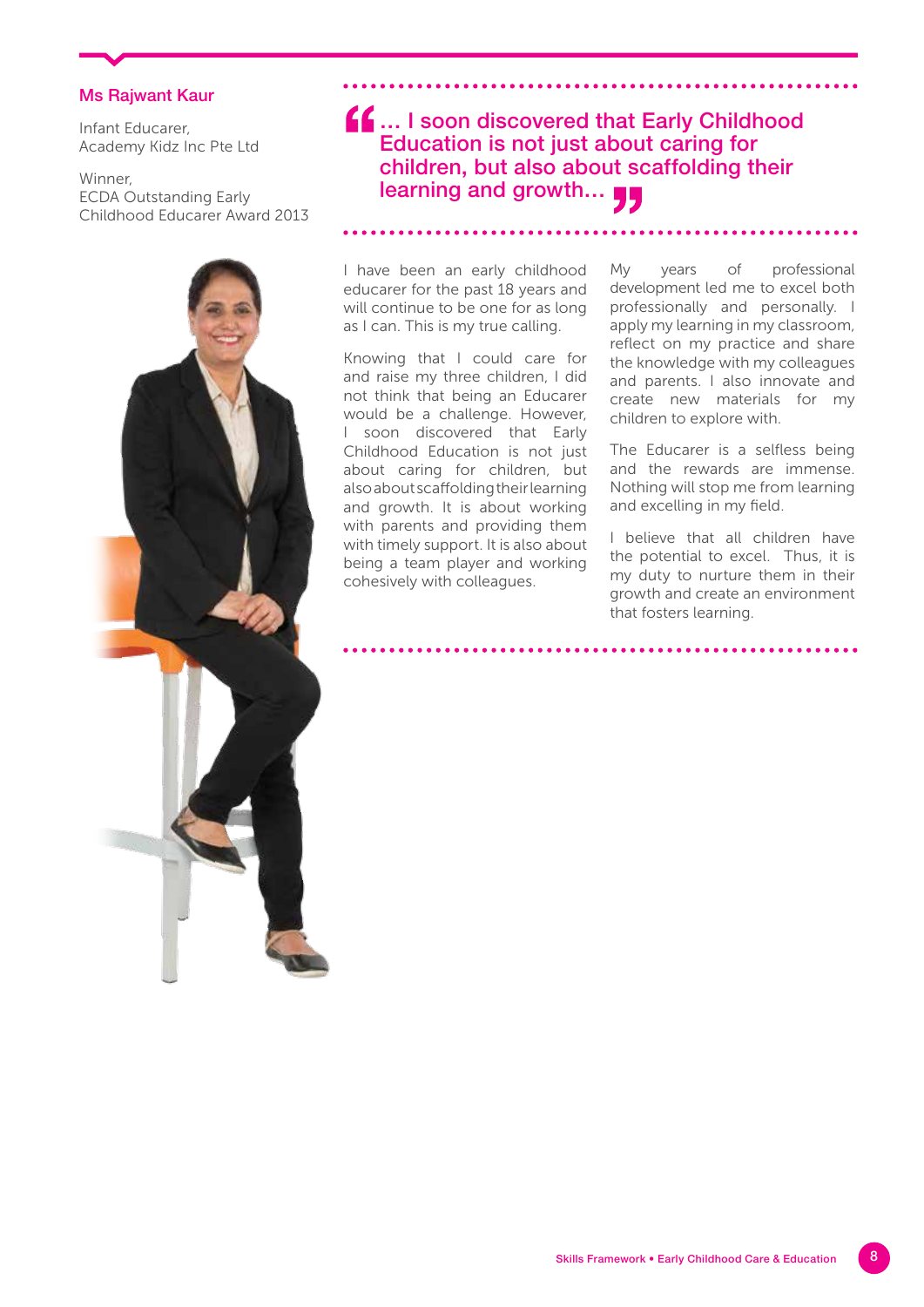### Ms Rajwant Kaur

Infant Educarer, Academy Kidz Inc Pte Ltd

Winner, ECDA Outstanding Early Childhood Educarer Award 2013

**f.f.** ... I soon discovered that Early Childhood Education is not just about caring for children, but also about scaffolding their learning and growth...

I have been an early childhood educarer for the past 18 years and will continue to be one for as long as I can. This is my true calling.

Knowing that I could care for and raise my three children, I did not think that being an Educarer would be a challenge. However, I soon discovered that Early Childhood Education is not just about caring for children, but also about scaffolding their learning and growth. It is about working with parents and providing them with timely support. It is also about being a team player and working cohesively with colleagues.

My years of professional development led me to excel both professionally and personally. I apply my learning in my classroom, reflect on my practice and share the knowledge with my colleagues and parents. I also innovate and create new materials for my children to explore with.

The Educarer is a selfless being and the rewards are immense. Nothing will stop me from learning and excelling in my field.

I believe that all children have the potential to excel. Thus, it is my duty to nurture them in their growth and create an environment that fosters learning.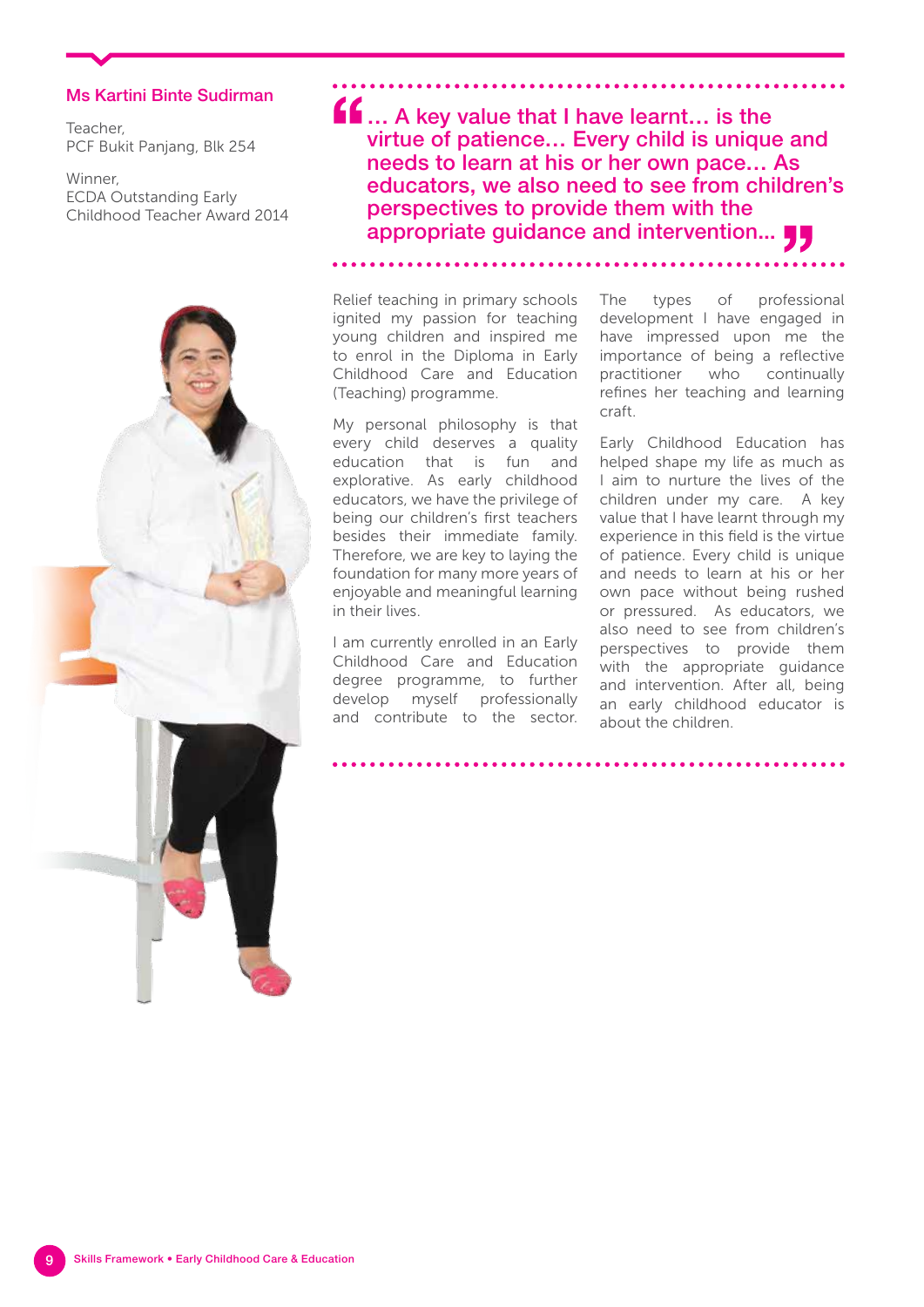### Ms Kartini Binte Sudirman

Teacher, PCF Bukit Panjang, Blk 254

Winner, ECDA Outstanding Early Childhood Teacher Award 2014



 $\blacksquare$  ... A key value that I have learnt... is the virtue of patience… Every child is unique and needs to learn at his or her own pace… As educators, we also need to see from children's perspectives to provide them with the appropriate guidance and intervention...

Relief teaching in primary schools ignited my passion for teaching young children and inspired me to enrol in the Diploma in Early Childhood Care and Education (Teaching) programme.

My personal philosophy is that every child deserves a quality education that is fun and explorative. As early childhood educators, we have the privilege of being our children's first teachers besides their immediate family. Therefore, we are key to laying the foundation for many more years of enjoyable and meaningful learning in their lives.

I am currently enrolled in an Early Childhood Care and Education degree programme, to further develop myself professionally and contribute to the sector. The types of professional development I have engaged in have impressed upon me the importance of being a reflective practitioner who continually refines her teaching and learning craft.

Early Childhood Education has helped shape my life as much as I aim to nurture the lives of the children under my care. A key value that I have learnt through my experience in this field is the virtue of patience. Every child is unique and needs to learn at his or her own pace without being rushed or pressured. As educators, we also need to see from children's perspectives to provide them with the appropriate guidance and intervention. After all, being an early childhood educator is about the children.

Skills Framework • Early Childhood Care & Education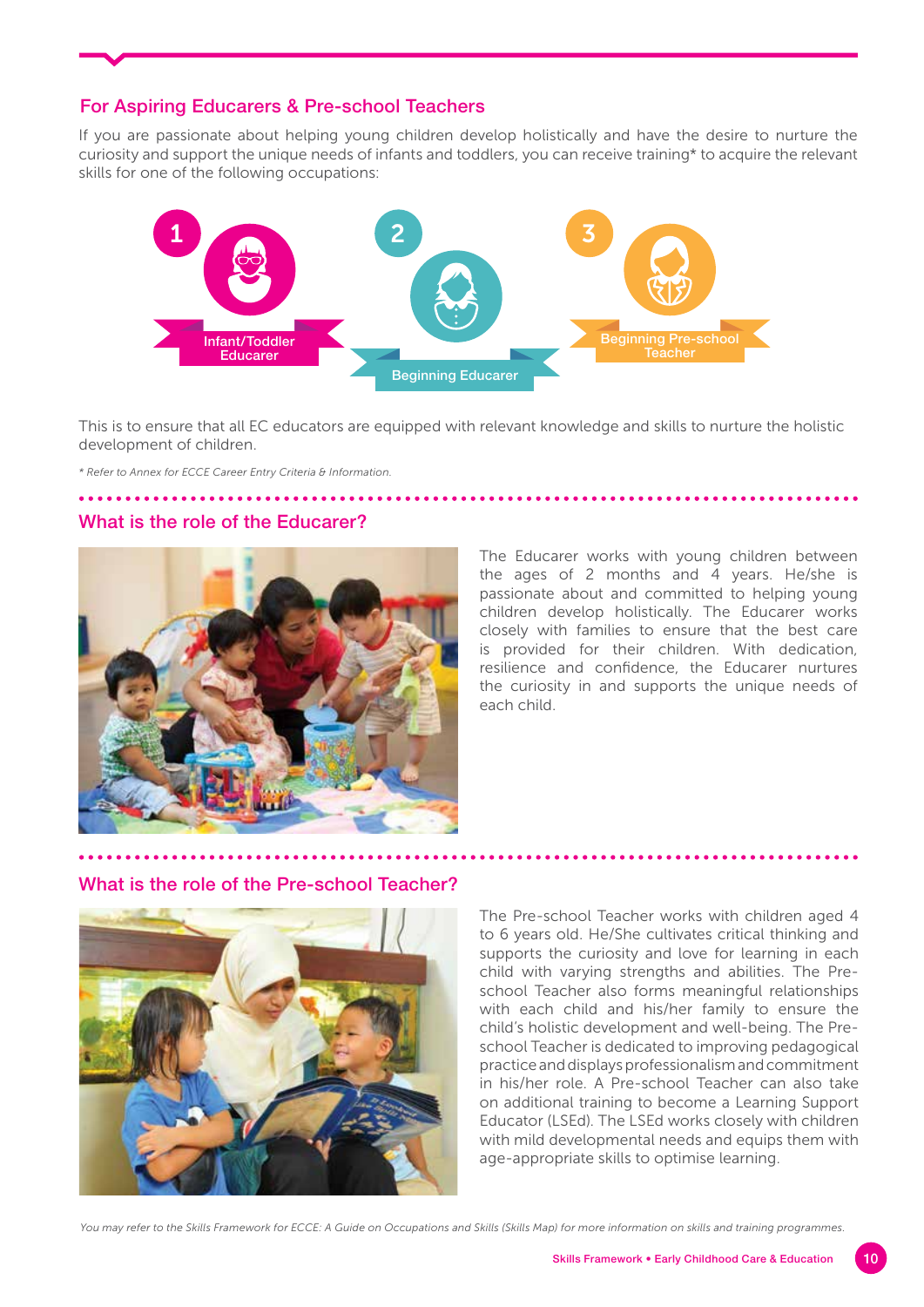### For Aspiring Educarers & Pre-school Teachers

If you are passionate about helping young children develop holistically and have the desire to nurture the curiosity and support the unique needs of infants and toddlers, you can receive training\* to acquire the relevant skills for one of the following occupations:



This is to ensure that all EC educators are equipped with relevant knowledge and skills to nurture the holistic development of children.

*\* Refer to Annex for ECCE Career Entry Criteria & Information.*

### What is the role of the Educarer?



The Educarer works with young children between the ages of 2 months and 4 years. He/she is passionate about and committed to helping young children develop holistically. The Educarer works closely with families to ensure that the best care is provided for their children. With dedication, resilience and confidence, the Educarer nurtures the curiosity in and supports the unique needs of each child.

### What is the role of the Pre-school Teacher?



The Pre-school Teacher works with children aged 4 to 6 years old. He/She cultivates critical thinking and supports the curiosity and love for learning in each child with varying strengths and abilities. The Preschool Teacher also forms meaningful relationships with each child and his/her family to ensure the child's holistic development and well-being. The Preschool Teacher is dedicated to improving pedagogical practice and displays professionalism and commitment in his/her role. A Pre-school Teacher can also take on additional training to become a Learning Support Educator (LSEd). The LSEd works closely with children with mild developmental needs and equips them with age-appropriate skills to optimise learning.

*You may refer to the Skills Framework for ECCE: A Guide on Occupations and Skills (Skills Map) for more information on skills and training programmes.*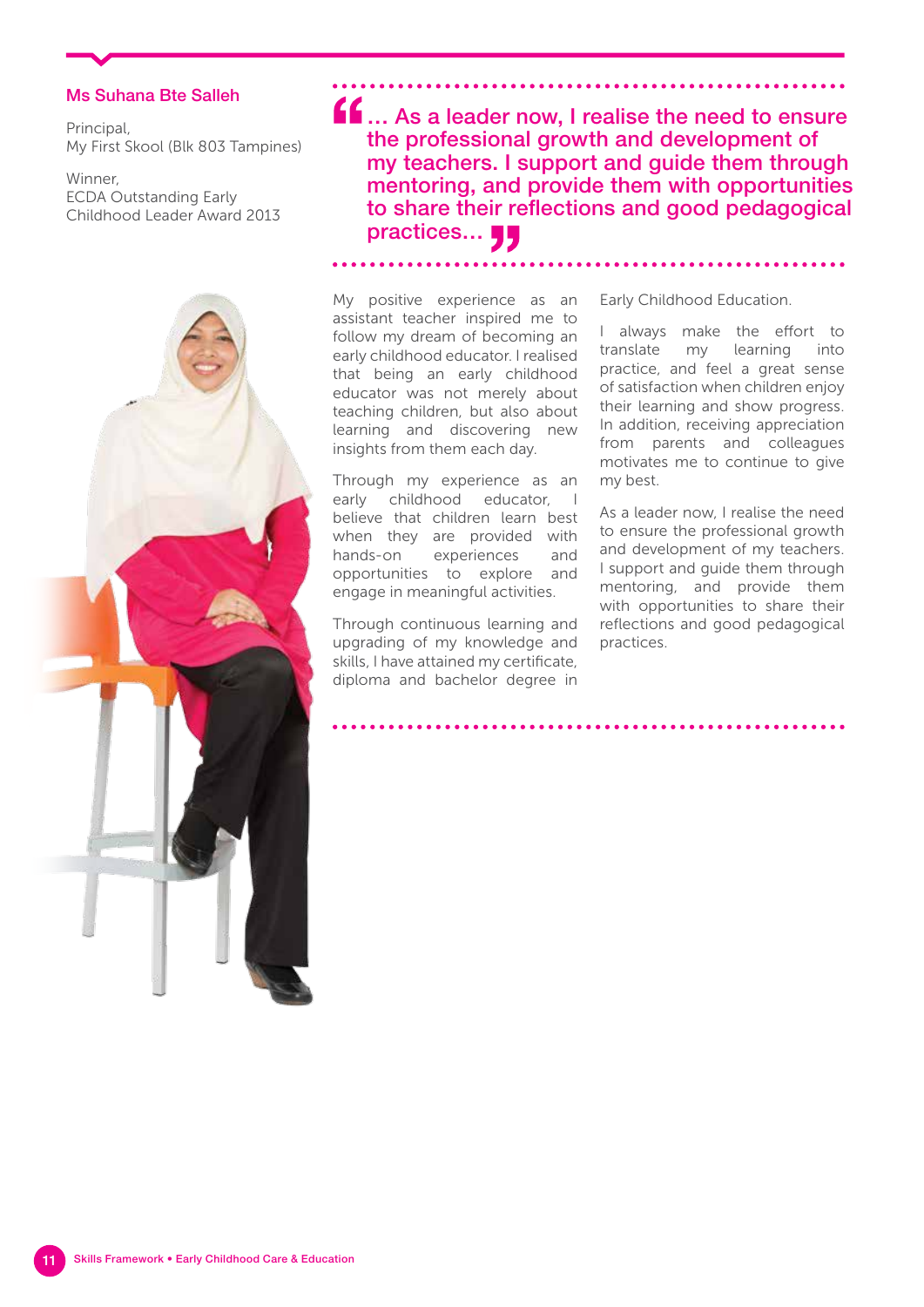### Ms Suhana Bte Salleh

Principal, My First Skool (Blk 803 Tampines)

Winner, ECDA Outstanding Early Childhood Leader Award 2013



**ff** ... As a leader now, I realise the need to ensure the professional growth and development of my teachers. I support and guide them through mentoring, and provide them with opportunities to share their reflections and good pedagogical practices... **44** 

My positive experience as an assistant teacher inspired me to follow my dream of becoming an early childhood educator. I realised that being an early childhood educator was not merely about teaching children, but also about learning and discovering new insights from them each day.

Through my experience as an early childhood educator, I believe that children learn best when they are provided with hands-on experiences and opportunities to explore and engage in meaningful activities.

Through continuous learning and upgrading of my knowledge and skills, I have attained my certificate, diploma and bachelor degree in

Early Childhood Education.

I always make the effort to translate my learning into practice, and feel a great sense of satisfaction when children enjoy their learning and show progress. In addition, receiving appreciation from parents and colleagues motivates me to continue to give my best.

As a leader now, I realise the need to ensure the professional growth and development of my teachers. I support and guide them through mentoring, and provide them with opportunities to share their reflections and good pedagogical practices.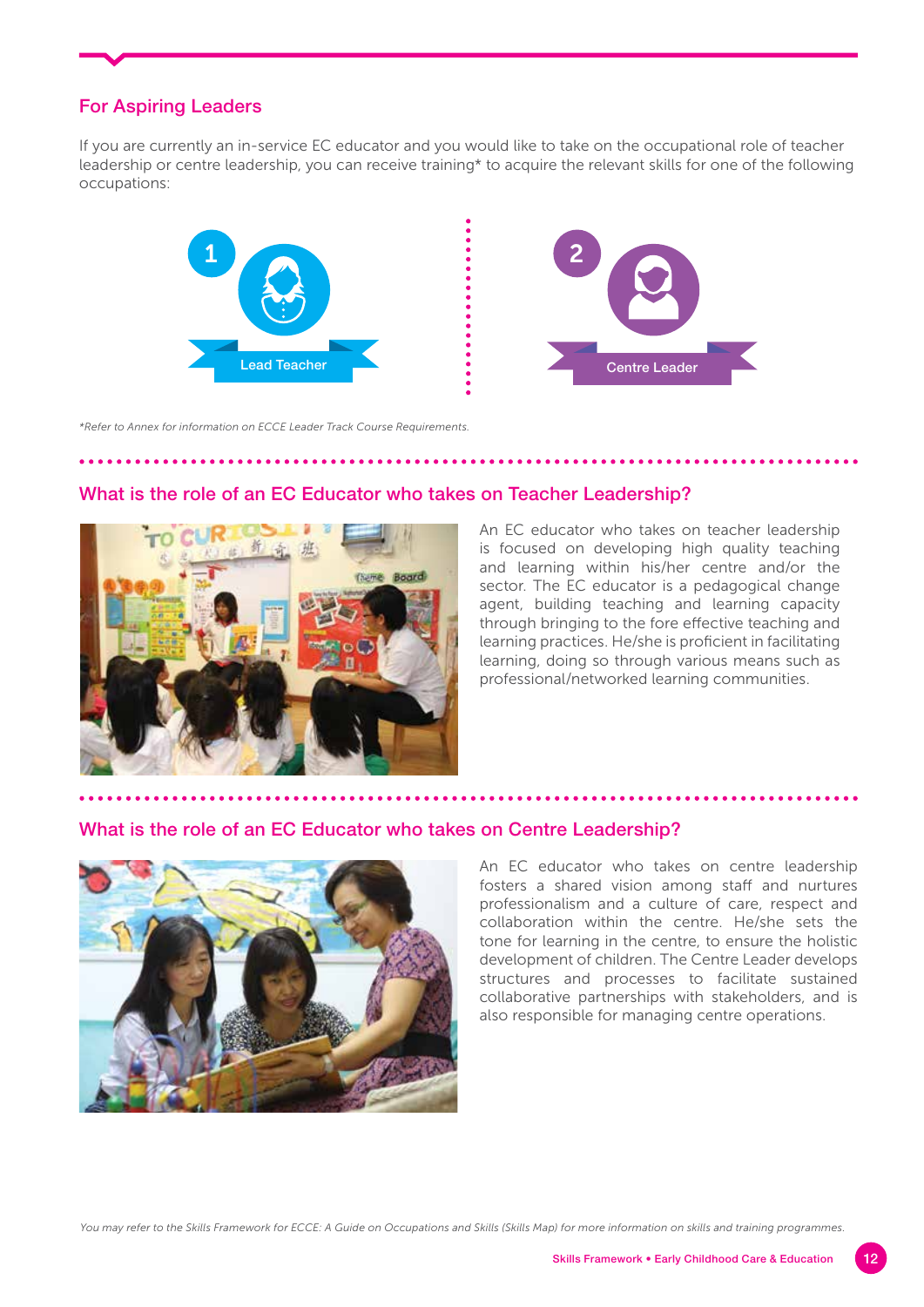## For Aspiring Leaders

If you are currently an in-service EC educator and you would like to take on the occupational role of teacher leadership or centre leadership, you can receive training\* to acquire the relevant skills for one of the following occupations:





*\*Refer to Annex for information on ECCE Leader Track Course Requirements.*

### What is the role of an EC Educator who takes on Teacher Leadership?



An EC educator who takes on teacher leadership is focused on developing high quality teaching and learning within his/her centre and/or the sector. The EC educator is a pedagogical change agent, building teaching and learning capacity through bringing to the fore effective teaching and learning practices. He/she is proficient in facilitating learning, doing so through various means such as professional/networked learning communities.

### What is the role of an EC Educator who takes on Centre Leadership?



An EC educator who takes on centre leadership fosters a shared vision among staff and nurtures professionalism and a culture of care, respect and collaboration within the centre. He/she sets the tone for learning in the centre, to ensure the holistic development of children. The Centre Leader develops structures and processes to facilitate sustained collaborative partnerships with stakeholders, and is also responsible for managing centre operations.

*You may refer to the Skills Framework for ECCE: A Guide on Occupations and Skills (Skills Map) for more information on skills and training programmes.*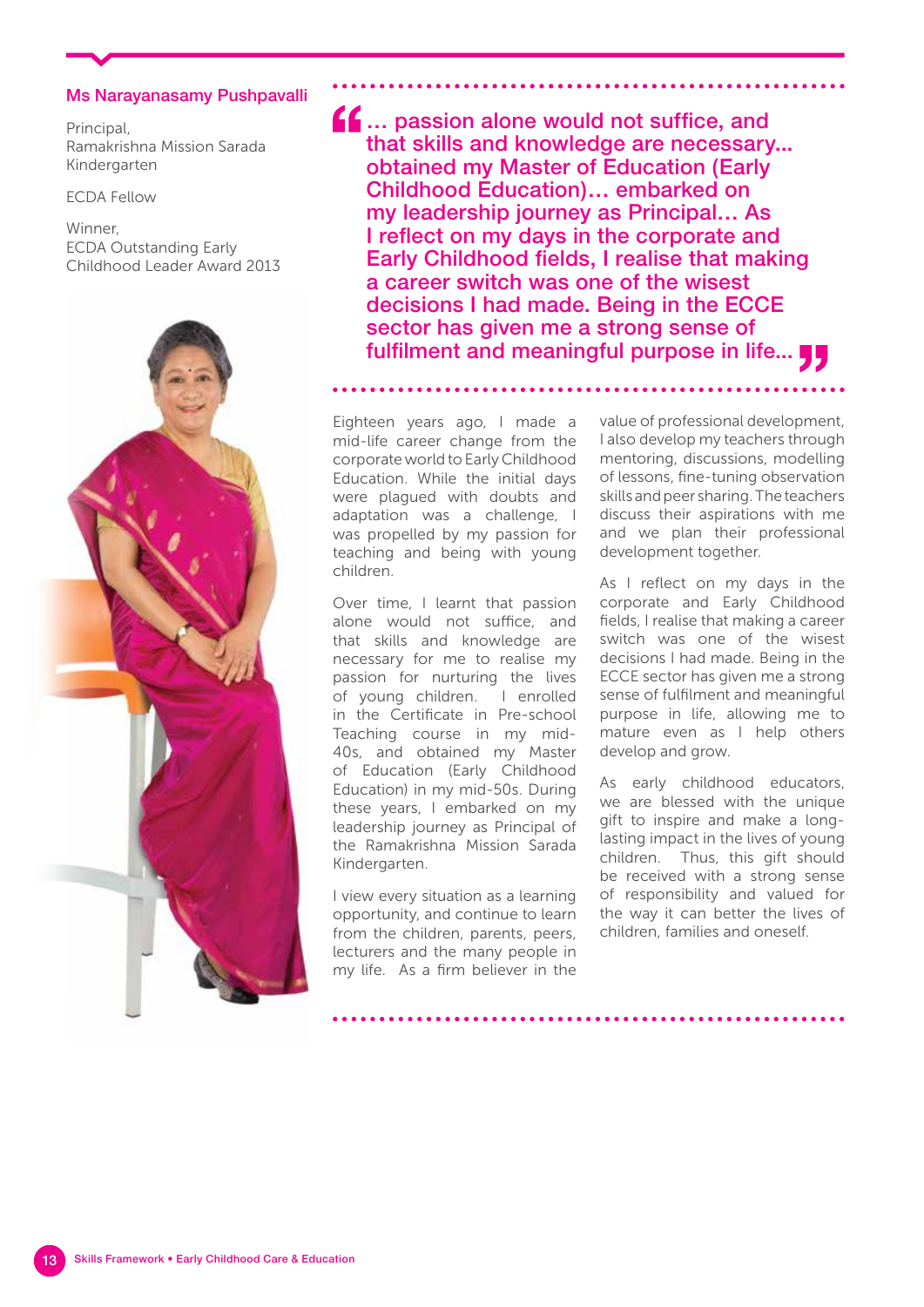### Ms Narayanasamy Pushpavalli

Principal, Ramakrishna Mission Sarada Kindergarten

ECDA Fellow

### Winner, ECDA Outstanding Early Childhood Leader Award 2013



 $f_{\text{max}}$  ... passion alone would not suffice, and that skills and knowledge are necessary... obtained my Master of Education (Early Childhood Education)… embarked on my leadership journey as Principal… As I reflect on my days in the corporate and Early Childhood fields, I realise that making a career switch was one of the wisest decisions I had made. Being in the ECCE sector has given me a strong sense of fulfilment and meaningful purpose in life...

Eighteen years ago, I made a mid-life career change from the corporate world to Early Childhood Education. While the initial days were plagued with doubts and adaptation was a challenge, I was propelled by my passion for teaching and being with young children.

Over time, I learnt that passion alone would not suffice, and that skills and knowledge are necessary for me to realise my passion for nurturing the lives of young children. I enrolled in the Certificate in Pre-school Teaching course in my mid-40s, and obtained my Master of Education (Early Childhood Education) in my mid-50s. During these years, I embarked on my leadership journey as Principal of the Ramakrishna Mission Sarada Kindergarten.

I view every situation as a learning opportunity, and continue to learn from the children, parents, peers, lecturers and the many people in my life. As a firm believer in the value of professional development, I also develop my teachers through mentoring, discussions, modelling of lessons, fine-tuning observation skills and peer sharing. The teachers discuss their aspirations with me and we plan their professional development together.

As I reflect on my days in the corporate and Early Childhood fields, I realise that making a career switch was one of the wisest decisions I had made. Being in the ECCE sector has given me a strong sense of fulfilment and meaningful purpose in life, allowing me to mature even as I help others develop and grow.

As early childhood educators, we are blessed with the unique gift to inspire and make a longlasting impact in the lives of young children. Thus, this gift should be received with a strong sense of responsibility and valued for the way it can better the lives of children, families and oneself.

Skills Framework • Early Childhood Care & Education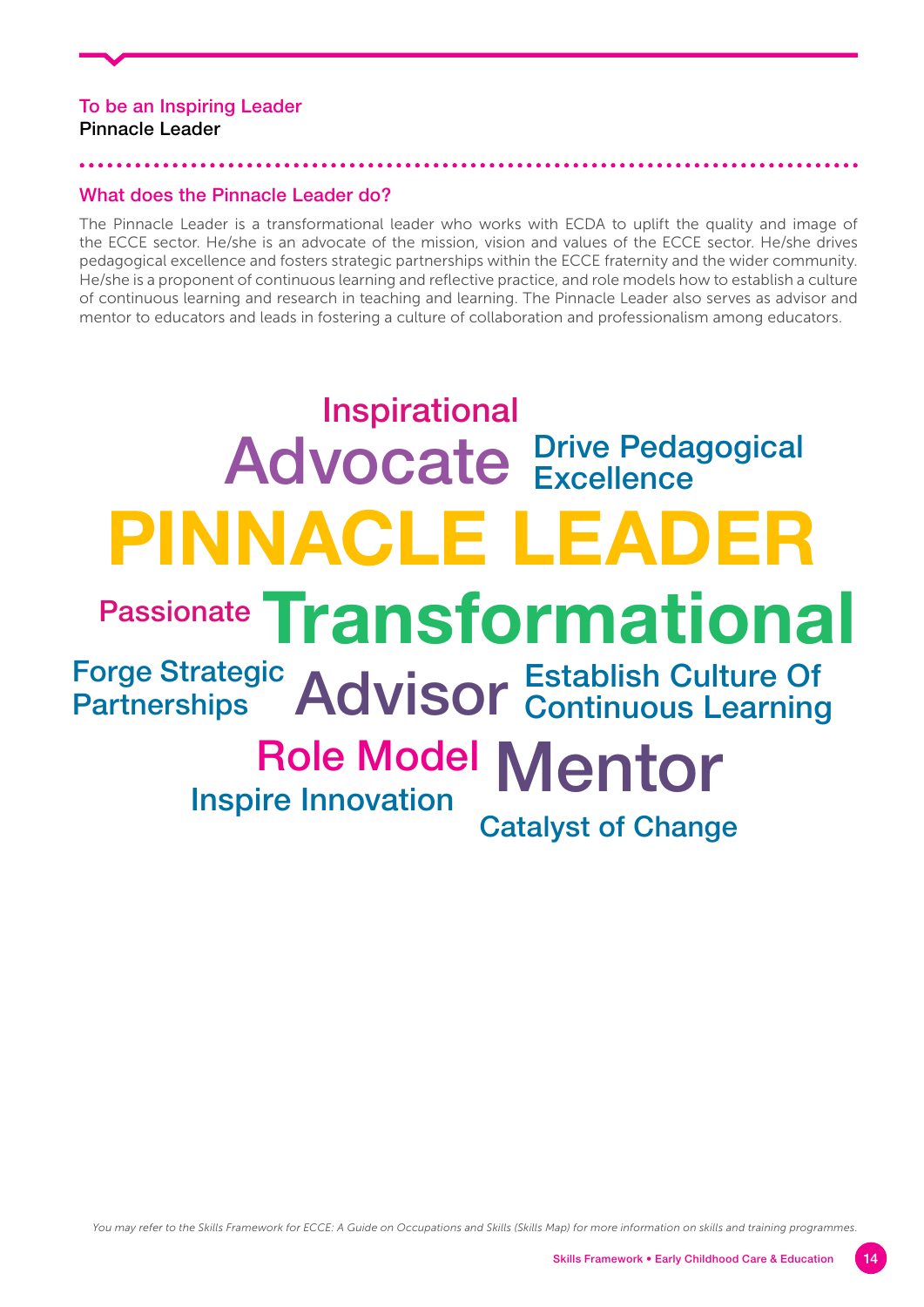## To be an Inspiring Leader Pinnacle Leader

### What does the Pinnacle Leader do?

The Pinnacle Leader is a transformational leader who works with ECDA to uplift the quality and image of the ECCE sector. He/she is an advocate of the mission, vision and values of the ECCE sector. He/she drives pedagogical excellence and fosters strategic partnerships within the ECCE fraternity and the wider community. He/she is a proponent of continuous learning and reflective practice, and role models how to establish a culture of continuous learning and research in teaching and learning. The Pinnacle Leader also serves as advisor and mentor to educators and leads in fostering a culture of collaboration and professionalism among educators.

# **PINNACLE LEADER** Advocate **Prive Pedagogical Transformational** Forge Strategic Advisor Role Model Mentor **Excellence Partnerships** Establish Culture Of Continuous Learning Inspire Innovation<br>Catalyst of Change Passionate Inspirational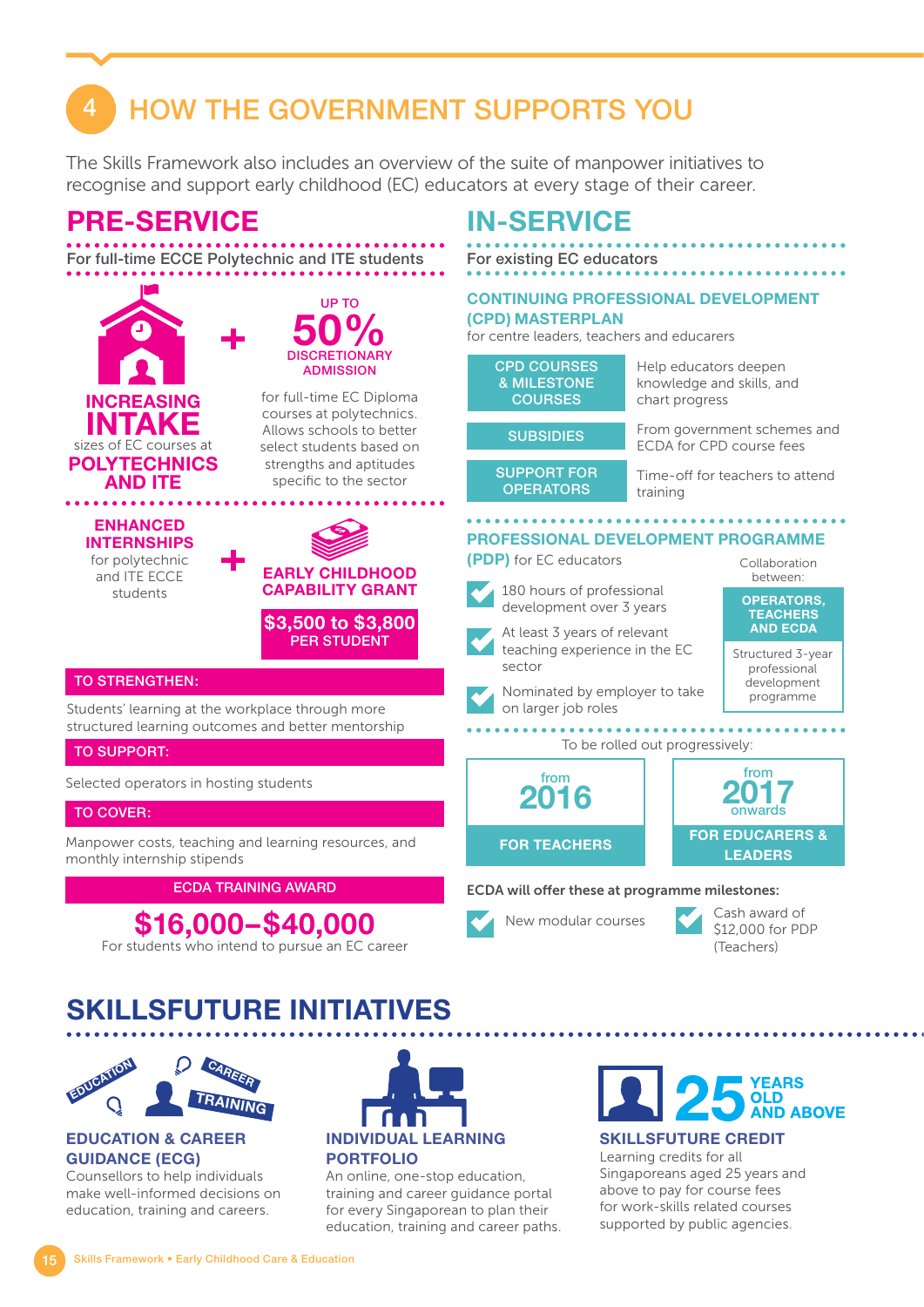# 4 HOW THE GOVERNMENT SUPPORTS YOU

The Skills Framework also includes an overview of the suite of manpower initiatives to recognise and support early childhood (EC) educators at every stage of their career.



# **SKILLSFUTURE INITIATIVES**



### **EDUCATION & CAREER GUIDANCE (ECG)**

Counsellors to help individuals make well-informed decisions on education, training and careers.



An online, one-stop education, training and career guidance portal for every Singaporean to plan their education, training and career paths.



**SKILLSFUTURE CREDIT**

Learning credits for all Singaporeans aged 25 years and above to pay for course fees for work-skills related courses supported by public agencies.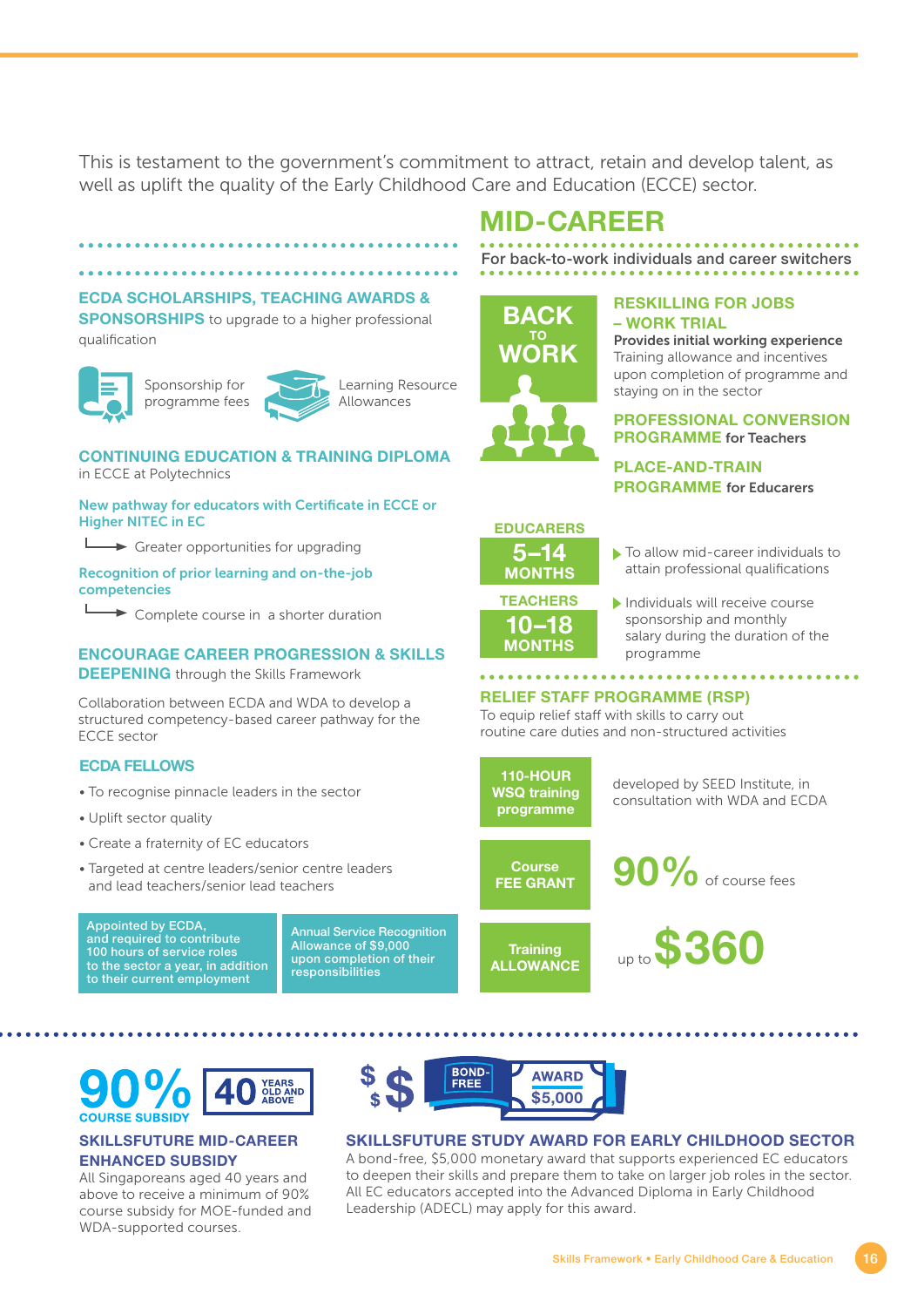This is testament to the government's commitment to attract, retain and develop talent, as well as uplift the quality of the Early Childhood Care and Education (ECCE) sector.

### **ECDA SCHOLARSHIPS, TEACHING AWARDS &**

**SPONSORSHIPS** to upgrade to a higher professional qualification





.............................

Learning Resource Allowances

### **CONTINUING EDUCATION & TRAINING DIPLOMA** in ECCE at Polytechnics

New pathway for educators with Certificate in ECCE or Higher NITEC in EC

 $\rightarrow$  Greater opportunities for upgrading

Recognition of prior learning and on-the-job competencies

**►** Complete course in a shorter duration

### **ENCOURAGE CAREER PROGRESSION & SKILLS DEEPENING** through the Skills Framework

Collaboration between ECDA and WDA to develop a structured competency-based career pathway for the ECCE sector

### **ECDA FELLOWS**

- To recognise pinnacle leaders in the sector
- Uplift sector quality
- Create a fraternity of EC educators
- Targeted at centre leaders/senior centre leaders and lead teachers/senior lead teachers

Appointed by ECDA, and required to contribute 100 hours of service roles to the sector a year, in addition to their current employment

Annual Service Recognition Allowance of \$9,000 upon completion of their responsibilities



# **MID-CAREER**

For back-to-work individuals and career switchers



#### **RESKILLING FOR JOBS – WORK TRIAL**

Provides initial working experience Training allowance and incentives upon completion of programme and staying on in the sector

### **PROFESSIONAL CONVERSION PROGRAMME** for Teachers

**PLACE-AND-TRAIN PROGRAMME** for Educarers



 $\blacktriangleright$  To allow mid-career individuals to attain professional qualifications

**10–18 MONTHS** Individuals will receive course sponsorship and monthly salary during the duration of the programme

## **RELIEF STAFF PROGRAMME (RSP)**

To equip relief staff with skills to carry out routine care duties and non-structured activities



developed by SEED Institute, in consultation with WDA and ECDA



90% of course fees

**Training ALLOWANCE** up to **\$360**



### **SKILLSFUTURE MID-CAREER ENHANCED SUBSIDY**

All Singaporeans aged 40 years and above to receive a minimum of 90% course subsidy for MOE-funded and WDA-supported courses.



### **SKILLSFUTURE STUDY AWARD FOR EARLY CHILDHOOD SECTOR**

A bond-free, \$5,000 monetary award that supports experienced EC educators to deepen their skills and prepare them to take on larger job roles in the sector. All EC educators accepted into the Advanced Diploma in Early Childhood Leadership (ADECL) may apply for this award.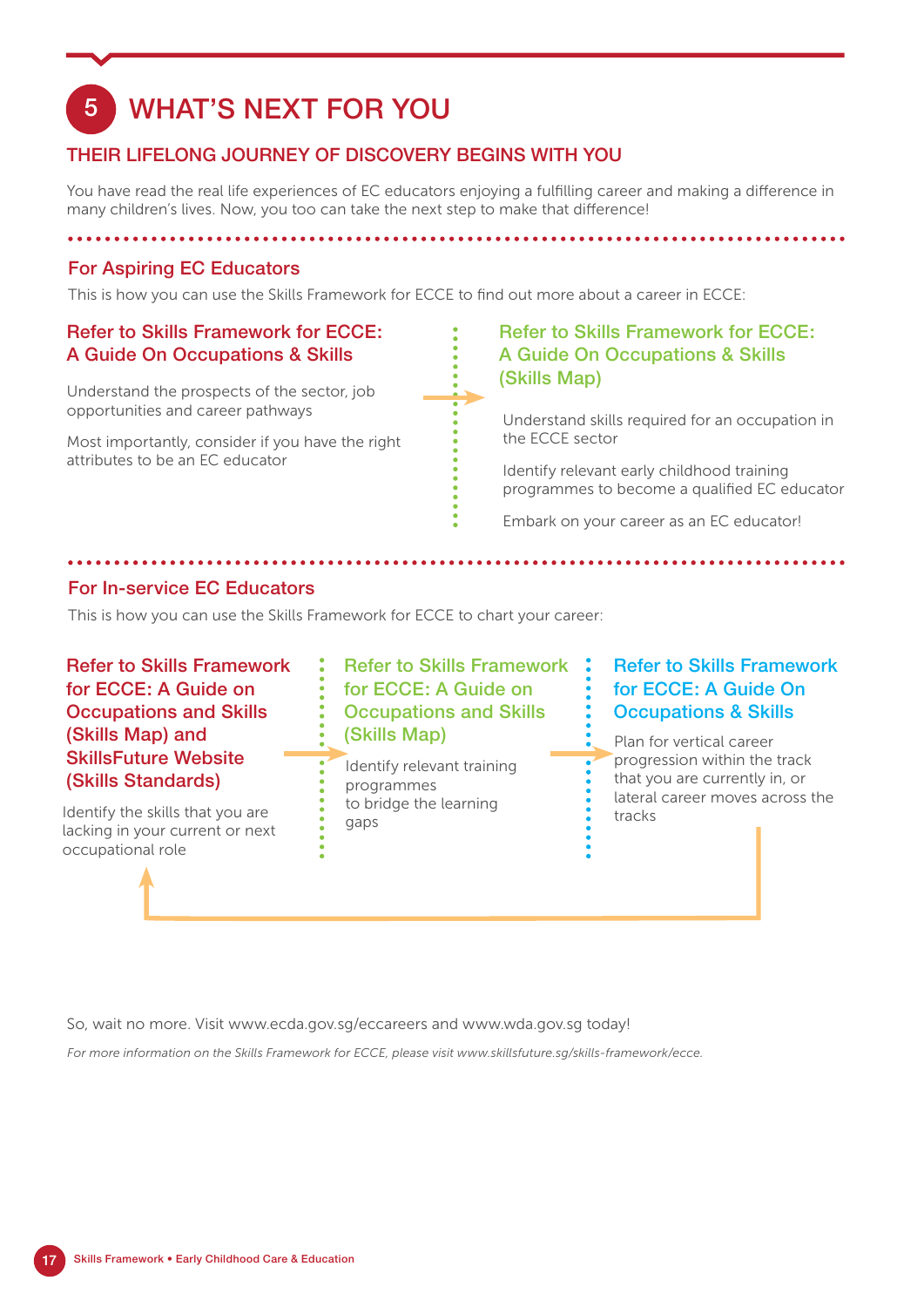# 5 WHAT'S NEXT FOR YOU

## THEIR LIFELONG JOURNEY OF DISCOVERY BEGINS WITH YOU

You have read the real life experiences of EC educators enjoying a fulfilling career and making a difference in many children's lives. Now, you too can take the next step to make that difference!

## For Aspiring EC Educators

This is how you can use the Skills Framework for ECCE to find out more about a career in ECCE:

## Refer to Skills Framework for ECCE: A Guide On Occupations & Skills

Understand the prospects of the sector, job opportunities and career pathways

Most importantly, consider if you have the right attributes to be an EC educator

## Refer to Skills Framework for ECCE: A Guide On Occupations & Skills (Skills Map)

Understand skills required for an occupation in the ECCE sector

Identify relevant early childhood training programmes to become a qualified EC educator

Embark on your career as an EC educator!

## For In-service EC Educators

This is how you can use the Skills Framework for ECCE to chart your career:

## Refer to Skills Framework for ECCE: A Guide on Occupations and Skills (Skills Map) and SkillsFuture Website (Skills Standards)

Identify the skills that you are lacking in your current or next occupational role

## Refer to Skills Framework for ECCE: A Guide on Occupations and Skills (Skills Map)

 $\overline{\phantom{a}}$ 

Identify relevant training programmes to bridge the learning gaps

## Refer to Skills Framework for ECCE: A Guide On Occupations & Skills

Plan for vertical career progression within the track that you are currently in, or lateral career moves across the tracks

So, wait no more. Visit www.ecda.gov.sg/eccareers and www.wda.gov.sg today!

*For more information on the Skills Framework for ECCE, please visit www.skillsfuture.sg/skills-framework/ecce.*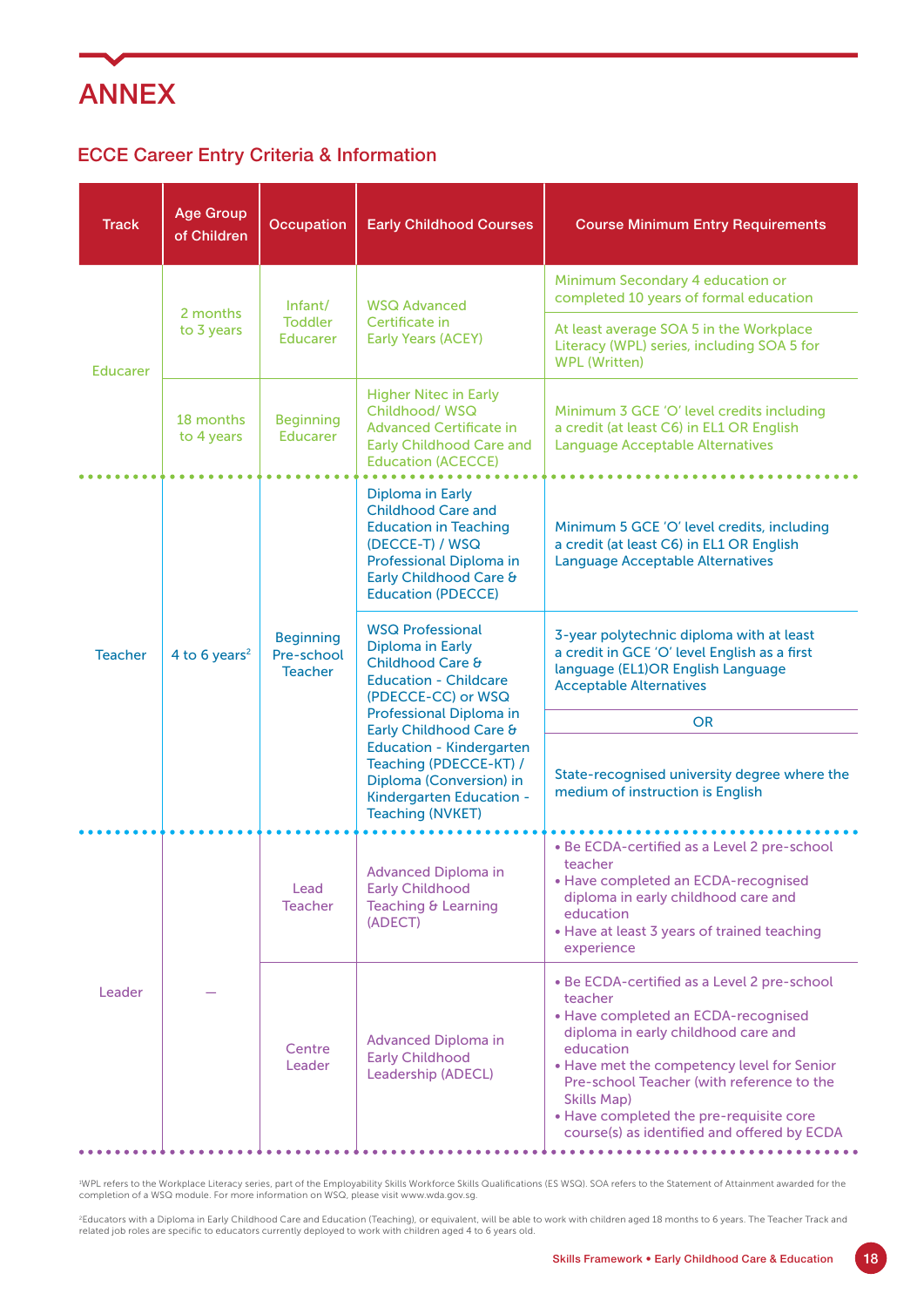

## ECCE Career Entry Criteria & Information

| <b>Track</b>    | <b>Age Group</b><br>of Children | Occupation                                       | <b>Early Childhood Courses</b>                                                                                                                                                                                                                                                                                            | <b>Course Minimum Entry Requirements</b>                                                                                                                                                                                                                                                                                                                     |
|-----------------|---------------------------------|--------------------------------------------------|---------------------------------------------------------------------------------------------------------------------------------------------------------------------------------------------------------------------------------------------------------------------------------------------------------------------------|--------------------------------------------------------------------------------------------------------------------------------------------------------------------------------------------------------------------------------------------------------------------------------------------------------------------------------------------------------------|
| <b>Educarer</b> | 2 months<br>to 3 years          | Infant/<br><b>Toddler</b><br>Educarer            | <b>WSQ Advanced</b><br>Certificate in<br><b>Early Years (ACEY)</b>                                                                                                                                                                                                                                                        | Minimum Secondary 4 education or<br>completed 10 years of formal education                                                                                                                                                                                                                                                                                   |
|                 |                                 |                                                  |                                                                                                                                                                                                                                                                                                                           | At least average SOA 5 in the Workplace<br>Literacy (WPL) series, including SOA 5 for<br><b>WPL (Written)</b>                                                                                                                                                                                                                                                |
|                 | 18 months<br>to 4 years         | <b>Beginning</b><br>Educarer                     | <b>Higher Nitec in Early</b><br>Childhood/WSQ<br><b>Advanced Certificate in</b><br><b>Early Childhood Care and</b><br><b>Education (ACECCE)</b>                                                                                                                                                                           | Minimum 3 GCE 'O' level credits including<br>a credit (at least C6) in EL1 OR English<br><b>Language Acceptable Alternatives</b>                                                                                                                                                                                                                             |
| <b>Teacher</b>  | 4 to 6 years <sup>2</sup>       | <b>Beginning</b><br>Pre-school<br><b>Teacher</b> | Diploma in Early<br><b>Childhood Care and</b><br><b>Education in Teaching</b><br>(DECCE-T) / WSQ<br>Professional Diploma in<br>Early Childhood Care &<br><b>Education (PDECCE)</b>                                                                                                                                        | Minimum 5 GCE 'O' level credits, including<br>a credit (at least C6) in EL1 OR English<br><b>Language Acceptable Alternatives</b>                                                                                                                                                                                                                            |
|                 |                                 |                                                  | <b>WSQ Professional</b><br>Diploma in Early<br>Childhood Care &<br><b>Education - Childcare</b><br>(PDECCE-CC) or WSQ<br>Professional Diploma in<br>Early Childhood Care &<br><b>Education - Kindergarten</b><br>Teaching (PDECCE-KT) /<br>Diploma (Conversion) in<br>Kindergarten Education -<br><b>Teaching (NVKET)</b> | 3-year polytechnic diploma with at least<br>a credit in GCE 'O' level English as a first<br>language (EL1)OR English Language<br><b>Acceptable Alternatives</b>                                                                                                                                                                                              |
|                 |                                 |                                                  |                                                                                                                                                                                                                                                                                                                           | <b>OR</b>                                                                                                                                                                                                                                                                                                                                                    |
|                 |                                 |                                                  |                                                                                                                                                                                                                                                                                                                           | State-recognised university degree where the<br>medium of instruction is English                                                                                                                                                                                                                                                                             |
| Leader          |                                 | Lead<br><b>Teacher</b>                           | <b>Advanced Diploma in</b><br><b>Early Childhood</b><br>Teaching & Learning<br>(ADECT)                                                                                                                                                                                                                                    | • Be ECDA-certified as a Level 2 pre-school<br>teacher<br>• Have completed an ECDA-recognised<br>diploma in early childhood care and<br>education<br>• Have at least 3 years of trained teaching<br>experience                                                                                                                                               |
|                 |                                 | Centre<br>Leader                                 | <b>Advanced Diploma in</b><br><b>Early Childhood</b><br>Leadership (ADECL)                                                                                                                                                                                                                                                | • Be ECDA-certified as a Level 2 pre-school<br>teacher<br>• Have completed an ECDA-recognised<br>diploma in early childhood care and<br>education<br>• Have met the competency level for Senior<br>Pre-school Teacher (with reference to the<br><b>Skills Map)</b><br>• Have completed the pre-requisite core<br>course(s) as identified and offered by ECDA |

<sup>1</sup>WPL refers to the Workplace Literacy series, part of the Employability Skills Workforce Skills Qualifications (ES WSQ). SOA refers to the Statement of Attainment awarded for the completion of a WSQ module. For more information on WSQ, please visit www.wda.gov.sg.

<sup>2</sup>Educators with a Diploma in Early Childhood Care and Education (Teaching), or equivalent, will be able to work with children aged 18 months to 6 years. The Teacher Track and<br>related job roles are specific to educators c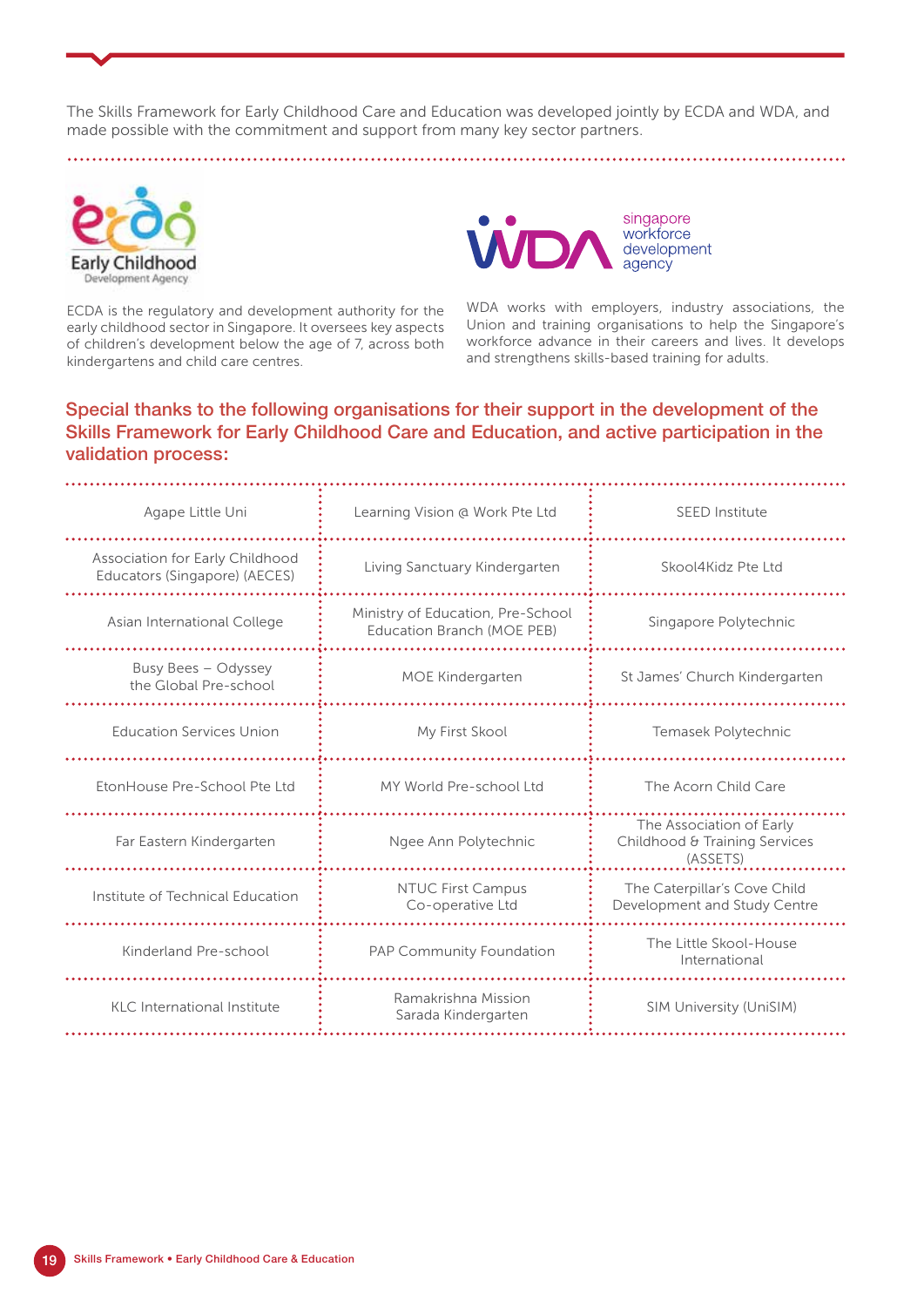The Skills Framework for Early Childhood Care and Education was developed jointly by ECDA and WDA, and made possible with the commitment and support from many key sector partners.



ECDA is the regulatory and development authority for the early childhood sector in Singapore. It oversees key aspects of children's development below the age of 7, across both kindergartens and child care centres.



WDA works with employers, industry associations, the Union and training organisations to help the Singapore's workforce advance in their careers and lives. It develops and strengthens skills-based training for adults.

### Special thanks to the following organisations for their support in the development of the Skills Framework for Early Childhood Care and Education, and active participation in the validation process:

| Agape Little Uni                                                 | Learning Vision @ Work Pte Ltd                                  | <b>SEED Institute</b>                                                 |
|------------------------------------------------------------------|-----------------------------------------------------------------|-----------------------------------------------------------------------|
| Association for Early Childhood<br>Educators (Singapore) (AECES) | Living Sanctuary Kindergarten                                   | Skool4Kidz Pte Ltd                                                    |
| Asian International College                                      | Ministry of Education, Pre-School<br>Education Branch (MOE PEB) | Singapore Polytechnic                                                 |
| Busy Bees - Odyssey<br>the Global Pre-school                     | MOE Kindergarten                                                | St James' Church Kindergarten                                         |
| <b>Education Services Union</b>                                  | My First Skool                                                  | Temasek Polytechnic                                                   |
| EtonHouse Pre-School Pte Ltd                                     | MY World Pre-school Ltd                                         | The Acorn Child Care                                                  |
| Far Eastern Kindergarten                                         | Ngee Ann Polytechnic                                            | The Association of Early<br>Childhood & Training Services<br>(ASSETS) |
| Institute of Technical Education                                 | <b>NTUC First Campus</b><br>Co-operative Ltd                    | The Caterpillar's Cove Child<br>Development and Study Centre          |
| Kinderland Pre-school                                            | PAP Community Foundation                                        | The Little Skool-House<br>International                               |
| KLC International Institute                                      | Ramakrishna Mission<br>Sarada Kindergarten                      | SIM University (UniSIM)                                               |